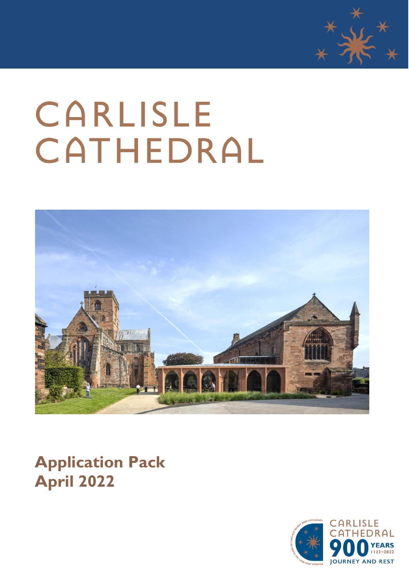

# CARLISLE CATHEDRAL



**Application Pack April 2022**

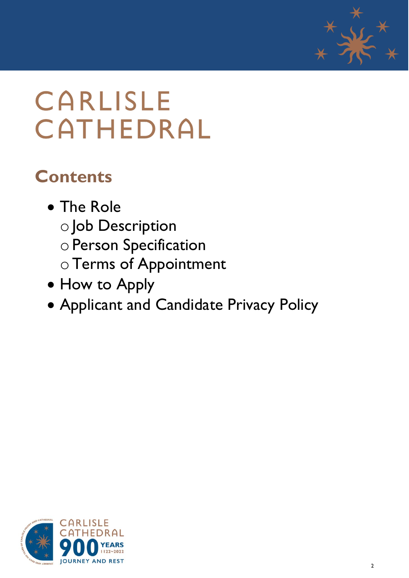

## CARLISLE CATHEDRAL

### **Contents**

- The Role
	- o Job Description
	- oPerson Specification
	- oTerms of Appointment
- How to Apply
- Applicant and Candidate Privacy Policy

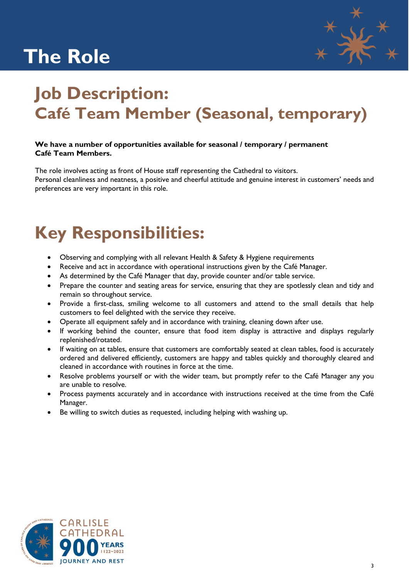### **The Role**



### **Job Description: Café Team Member (Seasonal, temporary)**

#### **We have a number of opportunities available for seasonal / temporary / permanent Café Team Members.**

The role involves acting as front of House staff representing the Cathedral to visitors. Personal cleanliness and neatness, a positive and cheerful attitude and genuine interest in customers' needs and preferences are very important in this role.

### **Key Responsibilities:**

- Observing and complying with all relevant Health & Safety & Hygiene requirements
- Receive and act in accordance with operational instructions given by the Café Manager.
- As determined by the Café Manager that day, provide counter and/or table service.
- Prepare the counter and seating areas for service, ensuring that they are spotlessly clean and tidy and remain so throughout service.
- Provide a first-class, smiling welcome to all customers and attend to the small details that help customers to feel delighted with the service they receive.
- Operate all equipment safely and in accordance with training, cleaning down after use.
- If working behind the counter, ensure that food item display is attractive and displays regularly replenished/rotated.
- If waiting on at tables, ensure that customers are comfortably seated at clean tables, food is accurately ordered and delivered efficiently, customers are happy and tables quickly and thoroughly cleared and cleaned in accordance with routines in force at the time.
- Resolve problems yourself or with the wider team, but promptly refer to the Café Manager any you are unable to resolve.
- Process payments accurately and in accordance with instructions received at the time from the Café Manager.
- Be willing to switch duties as requested, including helping with washing up.

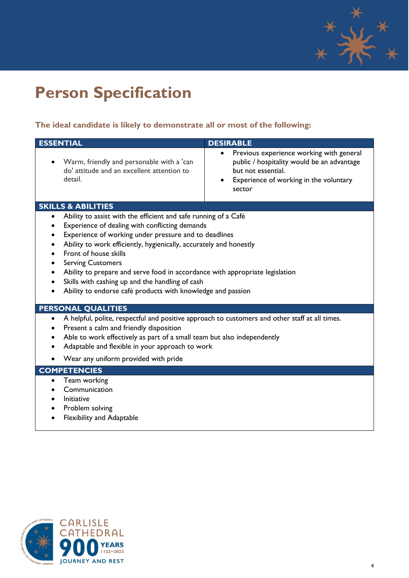

### **Person Specification**

#### **The ideal candidate is likely to demonstrate all or most of the following:**

| <b>ESSENTIAL</b>                                                                                     | <b>DESIRABLE</b>                                                                                                                                                              |
|------------------------------------------------------------------------------------------------------|-------------------------------------------------------------------------------------------------------------------------------------------------------------------------------|
| • Warm, friendly and personable with a 'can<br>do' attitude and an excellent attention to<br>detail. | Previous experience working with general<br>$\bullet$<br>public / hospitality would be an advantage<br>but not essential.<br>Experience of working in the voluntary<br>sector |
| <b>SKILLS &amp; ABILITIES</b>                                                                        |                                                                                                                                                                               |

#### Ability to assist with the efficient and safe running of a Café

- Experience of dealing with conflicting demands
- Experience of working under pressure and to deadlines
- Ability to work efficiently, hygienically, accurately and honestly
- Front of house skills
- Serving Customers
- Ability to prepare and serve food in accordance with appropriate legislation
- Skills with cashing up and the handling of cash
- Ability to endorse café products with knowledge and passion

#### **PERSONAL QUALITIES**

- A helpful, polite, respectful and positive approach to customers and other staff at all times.
- Present a calm and friendly disposition
- Able to work effectively as part of a small team but also independently
- Adaptable and flexible in your approach to work
- Wear any uniform provided with pride

#### **COMPETENCIES**

- Team working
- Communication
- Initiative
- Problem solving
- Flexibility and Adaptable

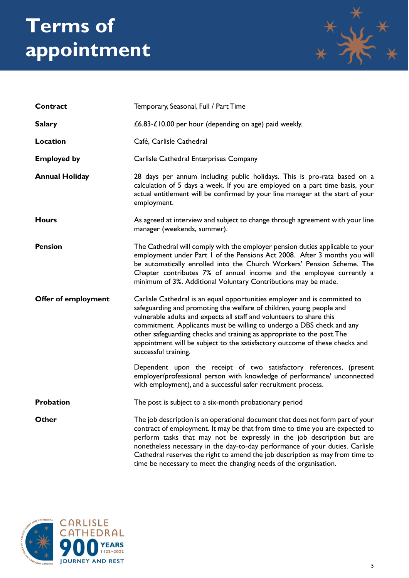### **Terms of appointment**

| Contract              | Temporary, Seasonal, Full / Part Time                                                                                                                                                                                                                                                                                                                                                                                                                                               |
|-----------------------|-------------------------------------------------------------------------------------------------------------------------------------------------------------------------------------------------------------------------------------------------------------------------------------------------------------------------------------------------------------------------------------------------------------------------------------------------------------------------------------|
| <b>Salary</b>         | £6.83-£10.00 per hour (depending on age) paid weekly.                                                                                                                                                                                                                                                                                                                                                                                                                               |
| Location              | Café, Carlisle Cathedral                                                                                                                                                                                                                                                                                                                                                                                                                                                            |
| <b>Employed by</b>    | Carlisle Cathedral Enterprises Company                                                                                                                                                                                                                                                                                                                                                                                                                                              |
| <b>Annual Holiday</b> | 28 days per annum including public holidays. This is pro-rata based on a<br>calculation of 5 days a week. If you are employed on a part time basis, your<br>actual entitlement will be confirmed by your line manager at the start of your<br>employment.                                                                                                                                                                                                                           |
| <b>Hours</b>          | As agreed at interview and subject to change through agreement with your line<br>manager (weekends, summer).                                                                                                                                                                                                                                                                                                                                                                        |
| <b>Pension</b>        | The Cathedral will comply with the employer pension duties applicable to your<br>employment under Part I of the Pensions Act 2008. After 3 months you will<br>be automatically enrolled into the Church Workers' Pension Scheme. The<br>Chapter contributes 7% of annual income and the employee currently a<br>minimum of 3%. Additional Voluntary Contributions may be made.                                                                                                      |
| Offer of employment   | Carlisle Cathedral is an equal opportunities employer and is committed to<br>safeguarding and promoting the welfare of children, young people and<br>vulnerable adults and expects all staff and volunteers to share this<br>commitment. Applicants must be willing to undergo a DBS check and any<br>other safeguarding checks and training as appropriate to the post. The<br>appointment will be subject to the satisfactory outcome of these checks and<br>successful training. |
|                       | Dependent upon the receipt of two satisfactory references, (present<br>employer/professional person with knowledge of performance/ unconnected<br>with employment), and a successful safer recruitment process.                                                                                                                                                                                                                                                                     |
| <b>Probation</b>      | The post is subject to a six-month probationary period                                                                                                                                                                                                                                                                                                                                                                                                                              |
| <b>Other</b>          | The job description is an operational document that does not form part of your<br>contract of employment. It may be that from time to time you are expected to<br>perform tasks that may not be expressly in the job description but are<br>nonetheless necessary in the day-to-day performance of your duties. Carlisle<br>Cathedral reserves the right to amend the job description as may from time to<br>time be necessary to meet the changing needs of the organisation.      |

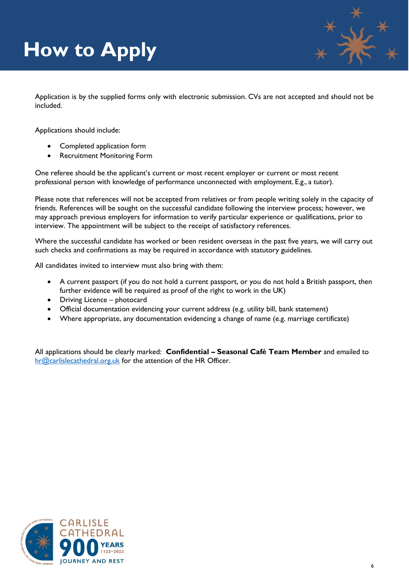

Application is by the supplied forms only with electronic submission. CVs are not accepted and should not be included.

Applications should include:

- Completed application form
- Recruitment Monitoring Form

One referee should be the applicant's current or most recent employer or current or most recent professional person with knowledge of performance unconnected with employment. E.g., a tutor).

Please note that references will not be accepted from relatives or from people writing solely in the capacity of friends. References will be sought on the successful candidate following the interview process; however, we may approach previous employers for information to verify particular experience or qualifications, prior to interview. The appointment will be subject to the receipt of satisfactory references.

Where the successful candidate has worked or been resident overseas in the past five years, we will carry out such checks and confirmations as may be required in accordance with statutory guidelines.

All candidates invited to interview must also bring with them:

- A current passport (if you do not hold a current passport, or you do not hold a British passport, then further evidence will be required as proof of the right to work in the UK)
- Driving Licence photocard
- Official documentation evidencing your current address (e.g. utility bill, bank statement)
- Where appropriate, any documentation evidencing a change of name (e.g. marriage certificate)

All applications should be clearly marked: **Confidential – Seasonal Café Team Member** and emailed to [hr@carlislecathedral.org.uk](mailto:hr@carlislecathedral.org.uk) for the attention of the HR Officer.

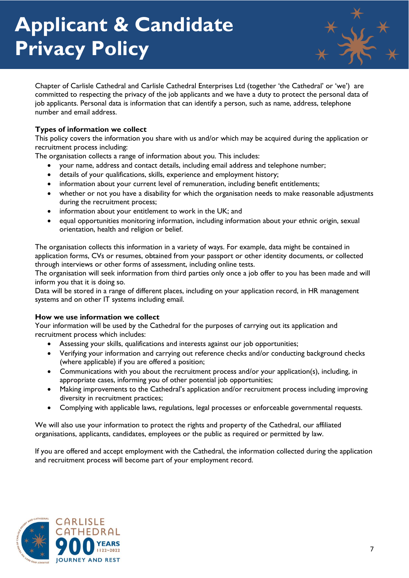

Chapter of Carlisle Cathedral and Carlisle Cathedral Enterprises Ltd (together 'the Cathedral' or 'we') are committed to respecting the privacy of the job applicants and we have a duty to protect the personal data of job applicants. Personal data is information that can identify a person, such as name, address, telephone number and email address.

#### **Types of information we collect**

This policy covers the information you share with us and/or which may be acquired during the application or recruitment process including:

The organisation collects a range of information about you. This includes:

- your name, address and contact details, including email address and telephone number;
- details of your qualifications, skills, experience and employment history;
- information about your current level of remuneration, including benefit entitlements;
- whether or not you have a disability for which the organisation needs to make reasonable adjustments during the recruitment process;
- information about your entitlement to work in the UK; and
- equal opportunities monitoring information, including information about your ethnic origin, sexual orientation, health and religion or belief.

The organisation collects this information in a variety of ways. For example, data might be contained in application forms, CVs or resumes, obtained from your passport or other identity documents, or collected through interviews or other forms of assessment, including online tests.

The organisation will seek information from third parties only once a job offer to you has been made and will inform you that it is doing so.

Data will be stored in a range of different places, including on your application record, in HR management systems and on other IT systems including email.

#### **How we use information we collect**

Your information will be used by the Cathedral for the purposes of carrying out its application and recruitment process which includes:

- Assessing your skills, qualifications and interests against our job opportunities;
- Verifying your information and carrying out reference checks and/or conducting background checks (where applicable) if you are offered a position;
- Communications with you about the recruitment process and/or your application(s), including, in appropriate cases, informing you of other potential job opportunities;
- Making improvements to the Cathedral's application and/or recruitment process including improving diversity in recruitment practices;
- Complying with applicable laws, regulations, legal processes or enforceable governmental requests.

We will also use your information to protect the rights and property of the Cathedral, our affiliated organisations, applicants, candidates, employees or the public as required or permitted by law.

If you are offered and accept employment with the Cathedral, the information collected during the application and recruitment process will become part of your employment record.